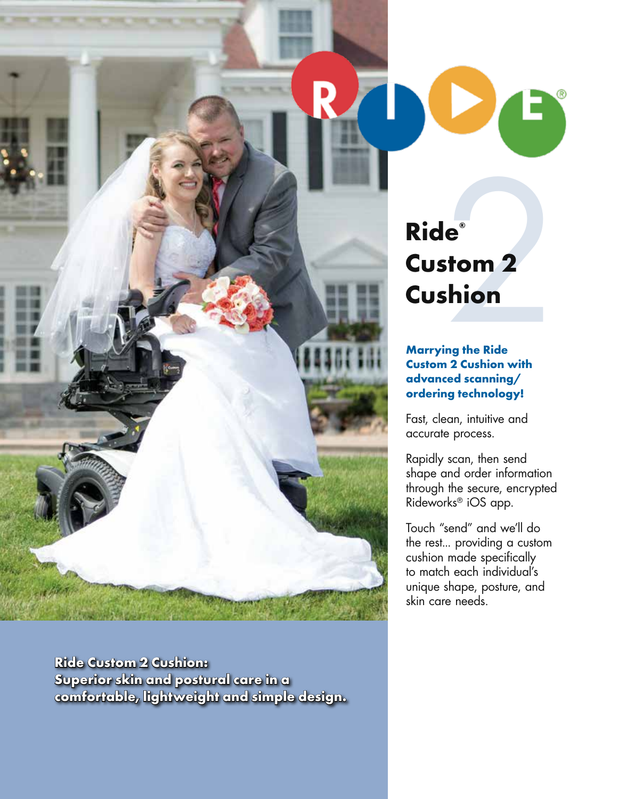

**Ride Custom 2 Cushion: Superior skin and postural care in a comfortable, lightweight and simple design.**

# $e<sup>e</sup>$ <br>  $\frac{1}{2}$ <br>  $\frac{1}{2}$ <br>  $\frac{1}{2}$ <br>  $\frac{1}{2}$ <br>  $\frac{1}{2}$ <br>  $\frac{1}{2}$ <br>  $\frac{1}{2}$ <br>  $\frac{1}{2}$ <br>  $\frac{1}{2}$ <br>  $\frac{1}{2}$ <br>  $\frac{1}{2}$ <br>  $\frac{1}{2}$ <br>  $\frac{1}{2}$ <br>  $\frac{1}{2}$ <br>  $\frac{1}{2}$ <br>  $\frac{1}{2}$ <br>  $\frac{1}{2}$ <br>  $\frac{1}{2}$ <br>  $\frac{1}{2}$ <br> **Ride® Custom 2 Cushion**

### **Marrying the Ride Custom 2 Cushion with advanced scanning/ ordering technology!**

Fast, clean, intuitive and accurate process.

Rapidly scan, then send shape and order information through the secure, encrypted Rideworks® iOS app.

Touch "send" and we'll do the rest... providing a custom cushion made specifically to match each individual's unique shape, posture, and skin care needs.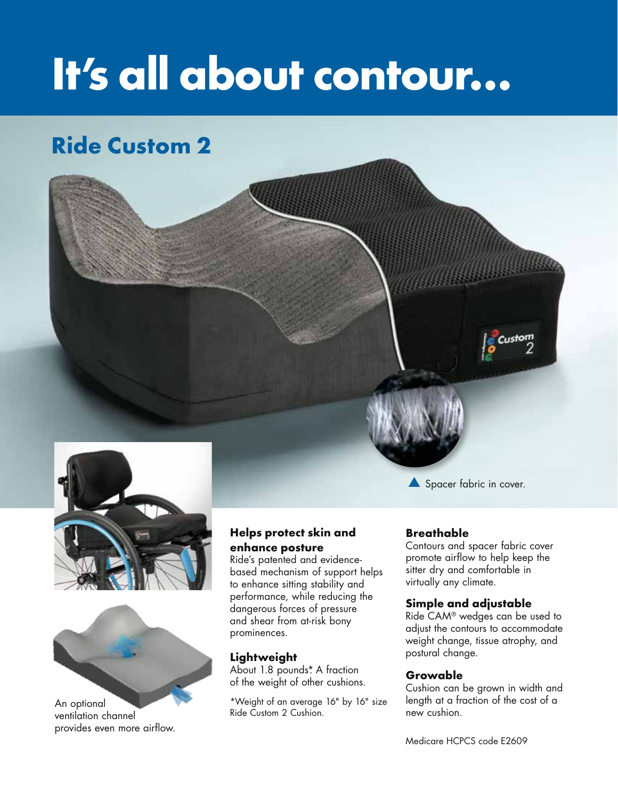# **It's all about contour…**

# **Ride Custom 2**







An optional ventilation channel provides even more airflow.

## **Helps protect skin and enhance posture**

Ride's patented and evidencebased mechanism of support helps to enhance sitting stability and performance, while reducing the dangerous forces of pressure and shear from at-risk bony prominences.

### **Lightweight**

About 1.8 pounds<sup>\*</sup>. A fraction of the weight of other cushions.

\*Weight of an average 16" by 16" size Ride Custom 2 Cushion.

Spacer fabric in cover.

### **Breathable**

Contours and spacer fabric cover promote airflow to help keep the sitter dry and comfortable in virtually any climate.

#### **Simple and adjustable**

Ride CAM® wedges can be used to adjust the contours to accommodate weight change, tissue atrophy, and postural change.

#### **Growable**

Cushion can be grown in width and length at a fraction of the cost of a new cushion.

Medicare HCPCS code E2609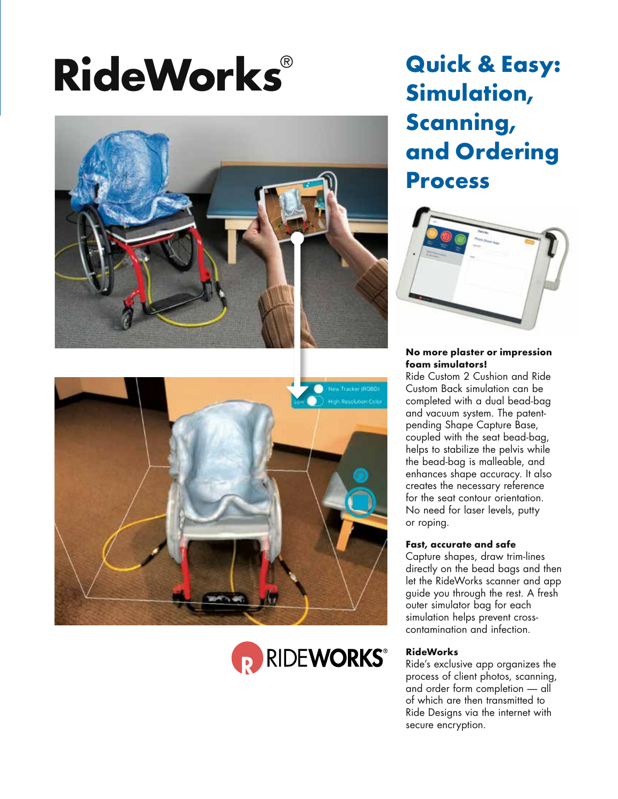# **RideWorks**®







# **Quick & Easy: Simulation, Scanning, and Ordering Process**



#### **No more plaster or impression foam simulators!**

**A** and vacuum system. The patent-Ride Custom 2 Cushion and Ride Custom Back simulation can be completed with a dual bead-bag pending Shape Capture Base, coupled with the seat bead-bag, helps to stabilize the pelvis while the bead-bag is malleable, and enhances shape accuracy. It also creates the necessary reference for the seat contour orientation. No need for laser levels, putty or roping.

#### **Fast, accurate and safe**

Capture shapes, draw trim-lines directly on the bead bags and then let the RideWorks scanner and app guide you through the rest. A fresh outer simulator bag for each simulation helps prevent crosscontamination and infection.

#### **RideWorks**

Ride's exclusive app organizes the process of client photos, scanning, and order form completion — all of which are then transmitted to Ride Designs via the internet with secure encryption.